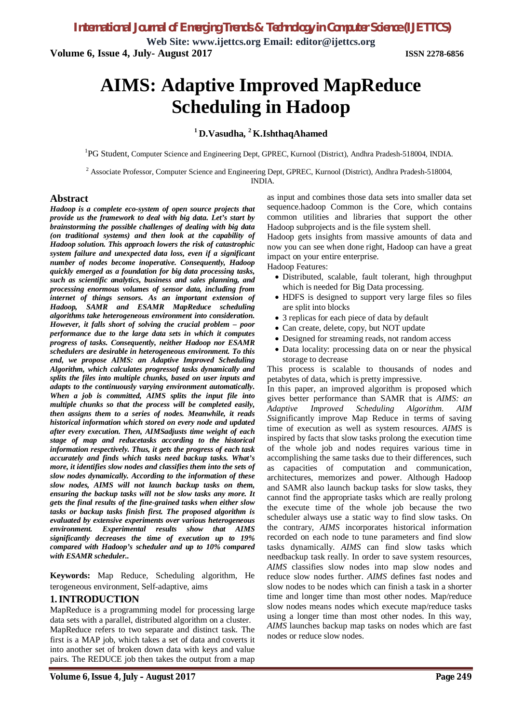**Web Site: www.ijettcs.org Email: editor@ijettcs.org Volume 6, Issue 4, July- August 2017 ISSN 2278-6856**

# **AIMS: Adaptive Improved MapReduce Scheduling in Hadoop**

### **<sup>1</sup>D.Vasudha, <sup>2</sup>K.IshthaqAhamed**

<sup>1</sup>PG Student, Computer Science and Engineering Dept, GPREC, Kurnool (District), Andhra Pradesh-518004, INDIA.

<sup>2</sup> Associate Professor, Computer Science and Engineering Dept, GPREC, Kurnool (District), Andhra Pradesh-518004, INDIA.

#### **Abstract**

*Hadoop is a complete eco-system of open source projects that provide us the framework to deal with big data. Let's start by brainstorming the possible challenges of dealing with big data (on traditional systems) and then look at the capability of Hadoop solution. This approach lowers the risk of catastrophic system failure and unexpected data loss, even if a significant number of nodes become inoperative. Consequently, Hadoop quickly emerged as a foundation for big data processing tasks, such as scientific analytics, business and sales planning, and processing enormous volumes of sensor data, including from internet of things sensors. As an important extension of Hadoop, SAMR and ESAMR MapReduce scheduling algorithms take heterogeneous environment into consideration. However, it falls short of solving the crucial problem – poor performance due to the large data sets in which it computes progress of tasks. Consequently, neither Hadoop nor ESAMR schedulers are desirable in heterogeneous environment. To this end, we propose AIMS: an Adaptive Improved Scheduling Algorithm, which calculates progressof tasks dynamically and splits the files into multiple chunks, based on user inputs and adapts to the continuously varying environment automatically. When a job is committed, AIMS splits the input file into multiple chunks so that the process will be completed easily, then assigns them to a series of nodes. Meanwhile, it reads historical information which stored on every node and updated after every execution. Then, AIMSadjusts time weight of each stage of map and reducetasks according to the historical information respectively. Thus, it gets the progress of each task accurately and finds which tasks need backup tasks. What's more, it identifies slow nodes and classifies them into the sets of slow nodes dynamically. According to the information of these slow nodes, AIMS will not launch backup tasks on them, ensuring the backup tasks will not be slow tasks any more. It gets the final results of the fine-grained tasks when either slow tasks or backup tasks finish first. The proposed algorithm is evaluated by extensive experiments over various heterogeneous environment. Experimental results show that AIMS significantly decreases the time of execution up to 19% compared with Hadoop's scheduler and up to 10% compared with ESAMR scheduler..*

**Keywords:** Map Reduce, Scheduling algorithm, He terogeneous environment, Self-adaptive, aims

#### **1.INTRODUCTION**

MapReduce is a programming model for processing large data sets with a parallel, distributed algorithm on a cluster. MapReduce refers to two separate and distinct task. The first is a MAP job, which takes a set of data and coverts it into another set of broken down data with keys and value pairs. The REDUCE job then takes the output from a map as input and combines those data sets into smaller data set sequence.hadoop Common is the Core, which contains common utilities and libraries that support the other Hadoop subprojects and is the file system shell.

Hadoop gets insights from massive amounts of data and now you can see when done right, Hadoop can have a great impact on your entire enterprise.

Hadoop Features:

- Distributed, scalable, fault tolerant, high throughput which is needed for Big Data processing.
- HDFS is designed to support very large files so files are split into blocks
- 3 replicas for each piece of data by default
- Can create, delete, copy, but NOT update
- Designed for streaming reads, not random access
- Data locality: processing data on or near the physical storage to decrease

This process is scalable to thousands of nodes and petabytes of data, which is pretty impressive.

In this paper, an improved algorithm is proposed which gives better performance than SAMR that is *AIMS: an Adaptive Improved Scheduling Algorithm*. *AIM S*significantly improve Map Reduce in terms of saving time of execution as well as system resources. *AIMS* is inspired by facts that slow tasks prolong the execution time of the whole job and nodes requires various time in accomplishing the same tasks due to their differences, such as capacities of computation and communication, architectures, memorizes and power. Although Hadoop and SAMR also launch backup tasks for slow tasks, they cannot find the appropriate tasks which are really prolong the execute time of the whole job because the two scheduler always use a static way to find slow tasks. On the contrary, *AIMS* incorporates historical information recorded on each node to tune parameters and find slow tasks dynamically. *AIMS* can find slow tasks which needbackup task really. In order to save system resources, *AIMS* classifies slow nodes into map slow nodes and reduce slow nodes further. *AIMS* defines fast nodes and slow nodes to be nodes which can finish a task in a shorter time and longer time than most other nodes. Map/reduce slow nodes means nodes which execute map/reduce tasks using a longer time than most other nodes. In this way, *AIMS* launches backup map tasks on nodes which are fast nodes or reduce slow nodes.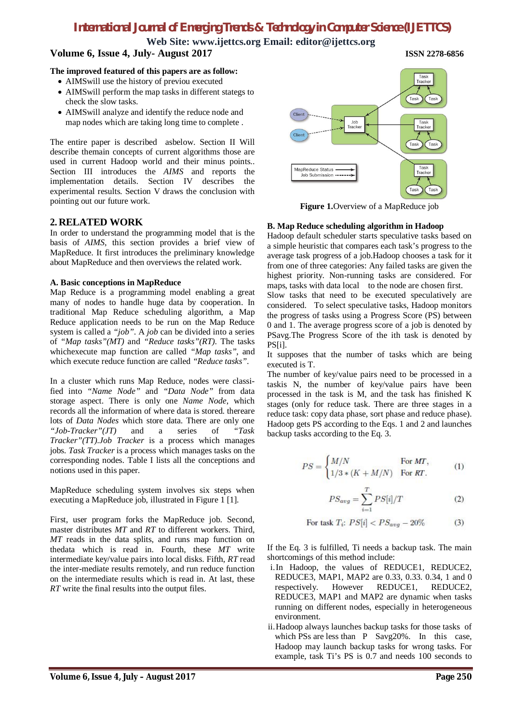**Web Site: www.ijettcs.org Email: editor@ijettcs.org Volume 6, Issue 4, July- August 2017 ISSN 2278-6856**

#### **The improved featured of this papers are as follow:**

- AIMSwill use the history of previou executed
- AIMSwill perform the map tasks in different stategs to check the slow tasks.
- AIMSwill analyze and identify the reduce node and map nodes which are taking long time to complete .

The entire paper is described asbelow. Section II Will describe themain concepts of current algorithms those are used in current Hadoop world and their minus points.. Section III introduces the *AIMS* and reports the implementation details. Section IV describes the experimental results. Section V draws the conclusion with pointing out our future work.

### **2. RELATED WORK**

In order to understand the programming model that is the basis of *AIMS*, this section provides a brief view of MapReduce. It first introduces the preliminary knowledge about MapReduce and then overviews the related work.

#### **A. Basic conceptions in MapReduce**

Map Reduce is a programming model enabling a great many of nodes to handle huge data by cooperation. In traditional Map Reduce scheduling algorithm, a Map Reduce application needs to be run on the Map Reduce system is called a *"job"*. A *job* can be divided into a series of *"Map tasks"(MT)* and *"Reduce tasks"(RT)*. The tasks whichexecute map function are called *"Map tasks"*, and which execute reduce function are called *"Reduce tasks"*.

In a cluster which runs Map Reduce, nodes were classified into *"Name Node"* and *"Data Node"* from data storage aspect. There is only one *Name Node*, which records all the information of where data is stored. thereare lots of *Data Nodes* which store data. There are only one *"Job-Tracker"(JT)* and a series of *"Task Tracker"(TT)*.*Job Tracker* is a process which manages jobs. *Task Tracker* is a process which manages tasks on the corresponding nodes. Table I lists all the conceptions and notions used in this paper.

MapReduce scheduling system involves six steps when executing a MapReduce job, illustrated in Figure 1 [1].

First, user program forks the MapReduce job. Second, master distributes *MT* and *RT* to different workers. Third, *MT* reads in the data splits, and runs map function on thedata which is read in. Fourth, these *MT* write intermediate key/value pairs into local disks. Fifth, *RT* read the inter-mediate results remotely, and run reduce function on the intermediate results which is read in. At last, these *RT* write the final results into the output files.



**Figure 1.**Overview of a MapReduce job

#### **B. Map Reduce scheduling algorithm in Hadoop**

Hadoop default scheduler starts speculative tasks based on a simple heuristic that compares each task's progress to the average task progress of a job.Hadoop chooses a task for it from one of three categories: Any failed tasks are given the highest priority. Non-running tasks are considered. For maps, tasks with data local to the node are chosen first.

Slow tasks that need to be executed speculatively are considered. To select speculative tasks, Hadoop monitors the progress of tasks using a Progress Score (PS) between 0 and 1. The average progress score of a job is denoted by PSavg.The Progress Score of the ith task is denoted by PS[i].

It supposes that the number of tasks which are being executed is T.

The number of key/value pairs need to be processed in a taskis N, the number of key/value pairs have been processed in the task is M, and the task has finished K stages (only for reduce task. There are three stages in a reduce task: copy data phase, sort phase and reduce phase). Hadoop gets PS according to the Eqs. 1 and 2 and launches backup tasks according to the Eq. 3.

$$
PS = \begin{cases} M/N & \text{For } MT, \\ 1/3 * (K + M/N) & \text{For } RT. \end{cases} \tag{1}
$$

$$
PS_{avg} = \sum_{i=1}^{T} PS[i]/T
$$
 (2)

For task 
$$
T_i
$$
:  $PS[i] < PS_{avg} - 20\%$  (3)

If the Eq. 3 is fulfilled, Ti needs a backup task. The main shortcomings of this method include:

- i.In Hadoop, the values of REDUCE1, REDUCE2, REDUCE3, MAP1, MAP2 are 0.33, 0.33. 0.34, 1 and 0 respectively. However REDUCE1, REDUCE2, REDUCE3, MAP1 and MAP2 are dynamic when tasks running on different nodes, especially in heterogeneous environment.
- ii.Hadoop always launches backup tasks for those tasks of which PSs are less than P Savg20%. In this case, Hadoop may launch backup tasks for wrong tasks. For example, task Ti's PS is 0.7 and needs 100 seconds to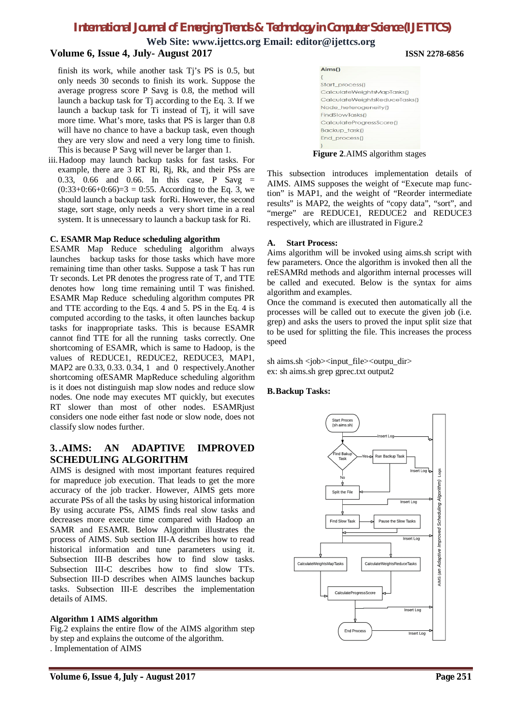**Web Site: www.ijettcs.org Email: editor@ijettcs.org Volume 6, Issue 4, July- August 2017 ISSN 2278-6856**

finish its work, while another task Tj's PS is 0.5, but only needs 30 seconds to finish its work. Suppose the average progress score P Savg is 0.8, the method will launch a backup task for Tj according to the Eq. 3. If we launch a backup task for Ti instead of Tj, it will save more time. What's more, tasks that PS is larger than 0.8 will have no chance to have a backup task, even though they are very slow and need a very long time to finish. This is because P Savg will never be larger than 1.

iii.Hadoop may launch backup tasks for fast tasks. For example, there are 3 RT Ri, Rj, Rk, and their PSs are 0.33, 0.66 and 0.66. In this case, P Savg =  $(0.33+0.66+0.66)=3$  = 0.55. According to the Eq. 3, we should launch a backup task forRi. However, the second stage, sort stage, only needs a very short time in a real system. It is unnecessary to launch a backup task for Ri.

#### **C. ESAMR Map Reduce scheduling algorithm**

ESAMR Map Reduce scheduling algorithm always launches backup tasks for those tasks which have more remaining time than other tasks. Suppose a task T has run Tr seconds. Let PR denotes the progress rate of T, and TTE denotes how long time remaining until T was finished. ESAMR Map Reduce scheduling algorithm computes PR and TTE according to the Eqs. 4 and 5. PS in the Eq. 4 is computed according to the tasks, it often launches backup tasks for inappropriate tasks. This is because ESAMR cannot find TTE for all the running tasks correctly. One shortcoming of ESAMR, which is same to Hadoop, is the values of REDUCE1, REDUCE2, REDUCE3, MAP1, MAP2 are 0.33, 0.33. 0.34, 1 and 0 respectively.Another shortcoming ofESAMR MapReduce scheduling algorithm is it does not distinguish map slow nodes and reduce slow nodes. One node may executes MT quickly, but executes RT slower than most of other nodes. ESAMRjust considers one node either fast node or slow node, does not classify slow nodes further.

### **3. .AIMS: AN ADAPTIVE IMPROVED SCHEDULING ALGORITHM**

AIMS is designed with most important features required for mapreduce job execution. That leads to get the more accuracy of the job tracker. However, AIMS gets more accurate PSs of all the tasks by using historical information By using accurate PSs, AIMS finds real slow tasks and decreases more execute time compared with Hadoop an SAMR and ESAMR. Below Algorithm illustrates the process of AIMS. Sub section III-A describes how to read historical information and tune parameters using it. Subsection III-B describes how to find slow tasks. Subsection III-C describes how to find slow TTs. Subsection III-D describes when AIMS launches backup tasks. Subsection III-E describes the implementation details of AIMS.

#### **Algorithm 1 AIMS algorithm**

Fig.2 explains the entire flow of the AIMS algorithm step by step and explains the outcome of the algorithm. . Implementation of AIMS

**Figure 2**.AIMS algorithm stages

This subsection introduces implementation details of AIMS. AIMS supposes the weight of "Execute map function" is MAP1, and the weight of "Reorder intermediate results" is MAP2, the weights of "copy data", "sort", and "merge" are REDUCE1, REDUCE2 and REDUCE3 respectively, which are illustrated in Figure.2

#### **A. Start Process:**

Aims algorithm will be invoked using aims.sh script with few parameters. Once the algorithm is invoked then all the reESAMRd methods and algorithm internal processes will be called and executed. Below is the syntax for aims algorithm and examples.

Once the command is executed then automatically all the processes will be called out to execute the given job (i.e. grep) and asks the users to proved the input split size that to be used for splitting the file. This increases the process speed

sh aims.sh <job><input\_file><outpu\_dir> ex: sh aims.sh grep gprec.txt output2

#### **B.Backup Tasks:**

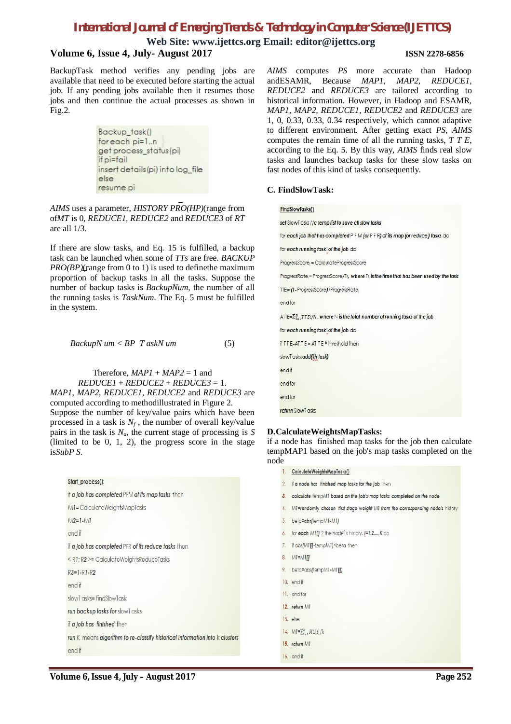**Web Site: www.ijettcs.org Email: editor@ijettcs.org**

### **Volume 6, Issue 4, July- August 2017 ISSN 2278-6856**

BackupTask method verifies any pending jobs are available that need to be executed before starting the actual job. If any pending jobs available then it resumes those jobs and then continue the actual processes as shown in Fig.2.

> Backup task() for each pi=1..n get process\_status(pi) if pi=fail insert details (pi) into log file else resume pi

*AIMS* uses a parameter, *HISTORY PRO(HP)*(range from of*MT* is 0, *REDUCE1*, *REDUCE2* and *REDUCE3* of *RT* are all 1/3.

If there are slow tasks, and Eq. 15 is fulfilled, a backup task can be launched when some of *TTs* are free. *BACKUP PRO(BP)*(range from 0 to 1) is used to define the maximum proportion of backup tasks in all the tasks. Suppose the number of backup tasks is *BackupNum*, the number of all the running tasks is *TaskNum*. The Eq. 5 must be fulfilled in the system.

*BackupN um < BP T askN um* (5)

#### Therefore,  $MAP1 + MAP2 = 1$  and  $REDUCE1 + REDUCE2 + REDUCE3 = 1.$ *MAP1, MAP2, REDUCE1, REDUCE2* and *REDUCE3* are computed according to methodillustrated in Figure 2. Suppose the number of key/value pairs which have been processed in a task is  $N_f$ , the number of overall key/value pairs in the task is  $N_a$ , the current stage of processing is *S* (limited to be 0, 1, 2), the progress score in the stage is*SubP S*.

| Start_process():   |                                                                             |
|--------------------|-----------------------------------------------------------------------------|
|                    | if <b>a job has completed</b> PFM <b>of its map tasks</b> then              |
|                    | M1=CalculateWeightsMapTasks                                                 |
| $M2 = 1 - M1$      |                                                                             |
| end if             |                                                                             |
|                    | if a job has completed PFR of its reduce tasks then                         |
|                    | $\leq$ R1; R2 >= CalculateWeightsReduceTasks                                |
| $R3 = 1 - R1 - R2$ |                                                                             |
| end if             |                                                                             |
|                    | slowTasks=FindSlowTask                                                      |
|                    | run backup tasks for slowT asks                                             |
|                    | if <b>a job has finished</b> then                                           |
|                    | run K means algorithm to re-classify historical information into k clusters |
| end if             |                                                                             |

*AIMS* computes *PS* more accurate than Hadoop andESAMR, Because *MAP1, MAP2, REDUCE1, REDUCE2* and *REDUCE3* are tailored according to historical information. However, in Hadoop and ESAMR, *MAP1, MAP2, REDUCE1, REDUCE2* and *REDUCE3* are 1, 0, 0.33, 0.33, 0.34 respectively, which cannot adaptive to different environment. After getting exact *PS*, *AIMS* computes the remain time of all the running tasks, *T T E*, according to the Eq. 5. By this way, *AIMS* finds real slow tasks and launches backup tasks for these slow tasks on fast nodes of this kind of tasks consequently.

#### **C. FindSlowTask:**

#### FindSlowTasks()

set SlowT asks //a temp list to save all slow tasks

for each job that has completed P F M (or P F R) of its map (or reduce) tasks do

for each running task i of the job do

ProgressScore<sub>l</sub> = CalculateProgressScore

ProgressRate<sub>l</sub> = ProgressScore/Tr, where Tr<sub>i</sub> is the time that has been used by the task

TTE=(1-ProgressScore)/ProgressRate

endfor

 $\overline{\text{ATE}} = \sum_{i=1}^{N} \overline{TPE} i/N$ , where N is the total number of running tasks of the job

for each running task of the job do

if TT E-ATT E> AT TE \* threshold then

slowTasks.add(th task)

endif

end for

end for

return SlowT asks

#### **D.CalculateWeightsMapTasks:**

if a node has finished map tasks for the job then calculate tempMAP1 based on the job's map tasks completed on the node

- 1. CalculateWeightsMapTasks()
- 2. If a node has finished map tasks for the job then
- 3. calculate tempM1 based on the job's map tasks completed on the node
- 4. M1=randomly chosen first stage weight M1 from the corresponding node's history
- 5. beta=abs(tempM1-M1)
- 6. for each M1[i] 2 the node<sup>0</sup>s history,  $i=1,2,...,K$  do
- 7. If abs(M1[i]-tempM1]<beta then
- 8.  $MI = MI$
- 9. beta=abs(tempM1-MI<sub>II</sub>)
- 10. end if
- 11. end for
- 12. return M1
- $13.$  else
- 14.  $MI = \sum_{i=1}^{k} M1[i]/k$
- 15. return M1
- 16. end if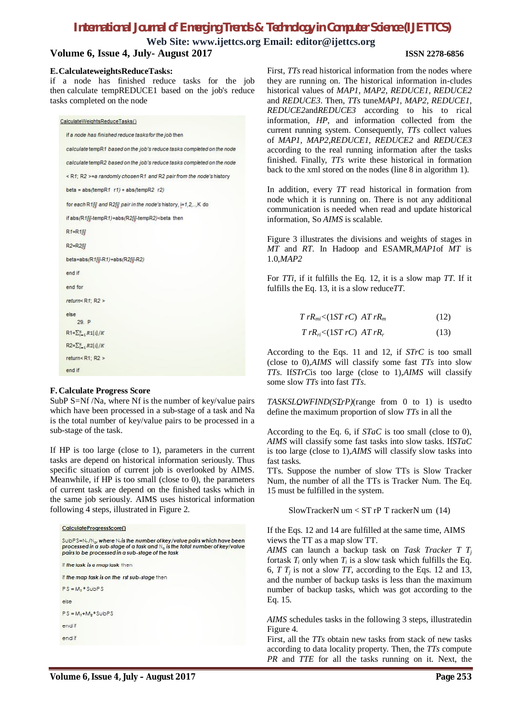**Web Site: www.ijettcs.org Email: editor@ijettcs.org**

#### **Volume 6, Issue 4, July- August 2017 ISSN 2278-6856**

#### **E.CalculateweightsReduceTasks:**

if a node has finished reduce tasks for the job then calculate tempREDUCE1 based on the job's reduce tasks completed on the node

CalculateWeightsReduceTasks() if a node has finished reduce tasks for the job then calculate tempR1 based on the job's reduce tasks completed on the node calculate tempR2 based on the job's reduce tasks completed on the node <R1; R2 >=a randomly chosen R1 and R2 pair from the node's history beta =  $abs(tempR1 r1) + abs(tempR2 r2)$ for each R1[i] and R2[i] pair in the node's history, i=1,2,..,K do if abs/R1/il-tempR1)+abs/R2/il-tempR2)<beta\_then  $R1 = R1/l$ R2=R2[i] beta=abs/R1/il-R1)+abs/R2/il-R2) end if end for return< $R1: R2$ else  $29E$  $R1 = \sum_{i=1}^{k} R1[i]/K$  $R2 = \sum_{i=1}^{k} R2[i]/K$ return<br/><br/> $R1: R2$ end if

#### **F. Calculate Progress Score**

SubP S=Nf /Na, where Nf is the number of key/value pairs which have been processed in a sub-stage of a task and Na is the total number of key/value pairs to be processed in a sub-stage of the task.

If HP is too large (close to 1), parameters in the current tasks are depend on historical information seriously. Thus specific situation of current job is overlooked by AIMS. Meanwhile, if HP is too small (close to 0), the parameters of current task are depend on the finished tasks which in the same job seriously. AIMS uses historical information following 4 steps, illustrated in Figure 2.



First, *TTs* read historical information from the nodes where they are running on. The historical information in-cludes historical values of *MAP1, MAP2, REDUCE1, REDUCE2* and *REDUCE3*. Then, *TTs* tune*MAP1, MAP2, REDUCE1, REDUCE2*and*REDUCE3* according to his to rical information, *HP*, and information collected from the current running system. Consequently, *TTs* collect values of *MAP1, MAP2,REDUCE1, REDUCE2* and *REDUCE3* according to the real running information after the tasks finished. Finally, *TTs* write these historical in formation back to the xml stored on the nodes (line 8 in algorithm 1).

In addition, every *TT* read historical in formation from node which it is running on. There is not any additional communication is needed when read and update historical information, So *AIMS* is scalable.

Figure 3 illustrates the divisions and weights of stages in *MT* and *RT*. In Hadoop and ESAMR,*MAP1*of *MT* is 1.0,*MAP2*

For *TTi*, if it fulfills the Eq. 12, it is a slow map *TT*. If it fulfills the Eq. 13, it is a slow reduce*TT*.

| $T rR_{mi} < (1ST rC) AT rR_m$ | (12) |
|--------------------------------|------|
|--------------------------------|------|

#### $Tr R_{ri} < (1ST rC) \, AT rR_r$  (13)

According to the Eqs. 11 and 12, if *STrC* is too small (close to 0),*AIMS* will classify some fast *TTs* into slow *TTs*. If*STrC*is too large (close to 1),*AIMS* will classify some slow *TTs* into fast *TTs*.

*TASKSLOWFIND(STrP)*(range from 0 to 1) is usedto define the maximum proportion of slow *TTs* in all the

According to the Eq. 6, if *STaC* is too small (close to 0), *AIMS* will classify some fast tasks into slow tasks. If*STaC* is too large (close to 1),*AIMS* will classify slow tasks into fast tasks.

TTs. Suppose the number of slow TTs is Slow Tracker Num, the number of all the TTs is Tracker Num. The Eq. 15 must be fulfilled in the system.

SlowTrackerN um < ST rP T rackerN um (14)

If the Eqs. 12 and 14 are fulfilled at the same time, AIMS views the TT as a map slow TT.

*AIMS* can launch a backup task on *Task Tracker T T<sup>j</sup>* fortask  $T_i$  only when  $T_i$  is a slow task which fulfills the Eq. 6,  $T T_j$  is not a slow  $T T$ , according to the Eqs. 12 and 13, and the number of backup tasks is less than the maximum number of backup tasks, which was got according to the Eq. 15.

*AIMS* schedules tasks in the following 3 steps, illustratedin Figure 4.

First, all the *TTs* obtain new tasks from stack of new tasks according to data locality property. Then, the *TTs* compute *PR* and *TTE* for all the tasks running on it. Next, the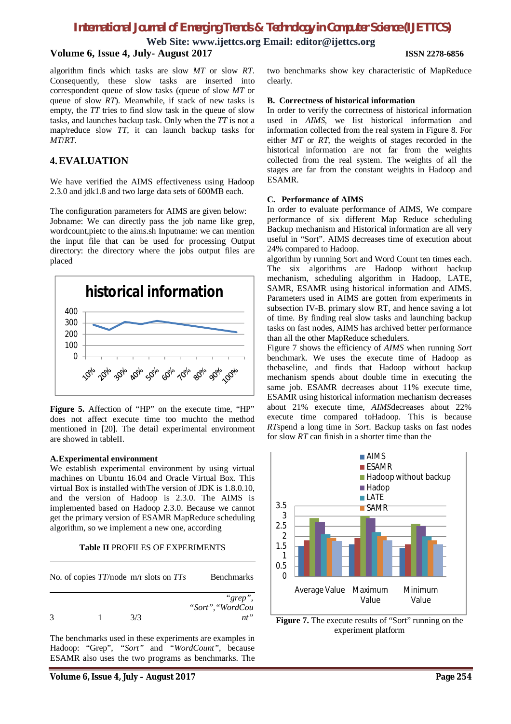**Web Site: www.ijettcs.org Email: editor@ijettcs.org**

### **Volume 6, Issue 4, July- August 2017 ISSN 2278-6856**

algorithm finds which tasks are slow *MT* or slow *RT*. Consequently, these slow tasks are inserted into correspondent queue of slow tasks (queue of slow *MT* or queue of slow *RT*). Meanwhile, if stack of new tasks is empty, the *TT* tries to find slow task in the queue of slow tasks, and launches backup task. Only when the *TT* is not a map/reduce slow *TT*, it can launch backup tasks for *MT*/*RT*.

# **4.EVALUATION**

We have verified the AIMS effectiveness using Hadoop 2.3.0 and jdk1.8 and two large data sets of 600MB each.

The configuration parameters for AIMS are given below: Jobname: We can directly pass the job name like grep, wordcount,pietc to the aims.sh Inputname: we can mention the input file that can be used for processing Output directory: the directory where the jobs output files are placed



**Figure 5.** Affection of "HP" on the execute time, "HP" does not affect execute time too muchto the method mentioned in [20]. The detail experimental environment are showed in tableII.

#### **A.Experimental environment**

We establish experimental environment by using virtual machines on Ubuntu 16.04 and Oracle Virtual Box. This virtual Box is installed withThe version of JDK is 1.8.0.10, and the version of Hadoop is 2.3.0. The AIMS is implemented based on Hadoop 2.3.0. Because we cannot get the primary version of ESAMR MapReduce scheduling algorithm, so we implement a new one, according

#### **Table II** PROFILES OF EXPERIMENTS

|   |  |     | No. of copies $TT$ /node m/r slots on $TTs$ | <b>Benchmarks</b>           |
|---|--|-----|---------------------------------------------|-----------------------------|
|   |  |     |                                             | "grep",<br>"Sort", "WordCou |
| 3 |  | 3/3 |                                             | nt"                         |

The benchmarks used in these experiments are examples in Hadoop: "Grep", *"Sort"* and *"WordCount"*, because ESAMR also uses the two programs as benchmarks. The

two benchmarks show key characteristic of MapReduce clearly.

#### **B. Correctness of historical information**

In order to verify the correctness of historical information used in *AIMS*, we list historical information and information collected from the real system in Figure 8. For either *MT* or *RT*, the weights of stages recorded in the historical information are not far from the weights collected from the real system. The weights of all the stages are far from the constant weights in Hadoop and ESAMR.

#### **C. Performance of AIMS**

In order to evaluate performance of AIMS, We compare performance of six different Map Reduce scheduling Backup mechanism and Historical information are all very useful in "Sort". AIMS decreases time of execution about 24% compared to Hadoop.

algorithm by running Sort and Word Count ten times each. The six algorithms are Hadoop without backup mechanism, scheduling algorithm in Hadoop, LATE, SAMR, ESAMR using historical information and AIMS. Parameters used in AIMS are gotten from experiments in subsection IV-B. primary slow RT, and hence saving a lot of time. By finding real slow tasks and launching backup tasks on fast nodes, AIMS has archived better performance than all the other MapReduce schedulers.

Figure 7 shows the efficiency of *AIMS* when running *Sort*  benchmark. We uses the execute time of Hadoop as thebaseline, and finds that Hadoop without backup mechanism spends about double time in executing the same job. ESAMR decreases about 11% execute time, ESAMR using historical information mechanism decreases about 21% execute time, *AIMS*decreases about 22% execute time compared toHadoop. This is because *RT*spend a long time in *Sort*. Backup tasks on fast nodes for slow *RT* can finish in a shorter time than the



**Figure 7.** The execute results of "Sort" running on the experiment platform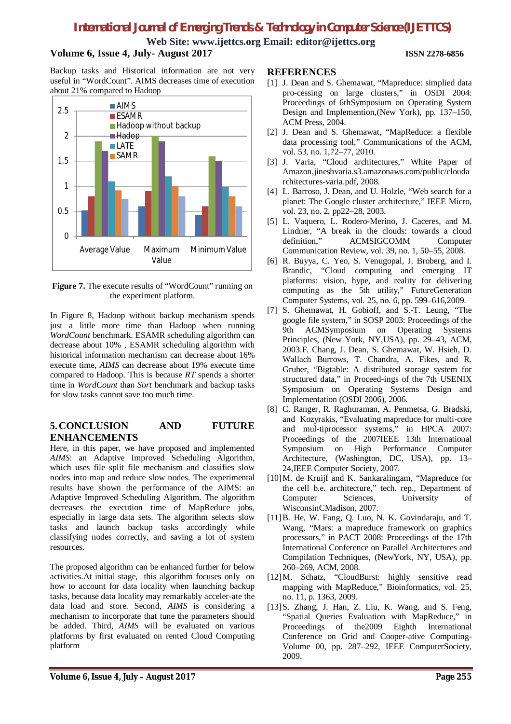**Web Site: www.ijettcs.org Email: editor@ijettcs.org**

# **Volume 6, Issue 4, July- August 2017 ISSN 2278-6856**

Backup tasks and Historical information are not very useful in "WordCount". AIMS decreases time of execution about 21% compared to Hadoop



**Figure 7.** The execute results of "WordCount" running on the experiment platform.

In Figure 8, Hadoop without backup mechanism spends just a little more time than Hadoop when running *WordCount* benchmark. ESAMR scheduling algorithm can decrease about 10% , ESAMR scheduling algorithm with historical information mechanism can decrease about 16% execute time, *AIMS* can decrease about 19% execute time compared to Hadoop. This is because *RT* spends a shorter time in *WordCount* than *Sort* benchmark and backup tasks for slow tasks cannot save too much time.

### **5.CONCLUSION AND FUTURE ENHANCEMENTS**

Here, in this paper, we have proposed and implemented *AIMS*: an Adaptive Improved Scheduling Algorithm, which uses file split file mechanism and classifies slow nodes into map and reduce slow nodes. The experimental results have shown the performance of the AIMS: an Adaptive Improved Scheduling Algorithm. The algorithm decreases the execution time of MapReduce jobs, especially in large data sets. The algorithm selects slow tasks and launch backup tasks accordingly while classifying nodes correctly, and saving a lot of system resources.

The proposed algorithm can be enhanced further for below activities.At initial stage, this algorithm focuses only on how to account for data locality when launching backup tasks, because data locality may remarkably acceler-ate the data load and store. Second, *AIMS* is considering a mechanism to incorporate that tune the parameters should be added. Third, *AIMS* will be evaluated on various platforms by first evaluated on rented Cloud Computing platform

### **REFERENCES**

- [1] J. Dean and S. Ghemawat, "Mapreduce: simplied data pro-cessing on large clusters," in OSDI 2004: Proceedings of 6thSymposium on Operating System Design and Implemention,(New York), pp. 137–150, ACM Press, 2004.
- [2] J. Dean and S. Ghemawat, "MapReduce: a flexible data processing tool," Communications of the ACM, vol. 53, no. 1,72–77, 2010.
- [3] J. Varia, "Cloud architectures," White Paper of Amazon,jineshvaria.s3.amazonaws.com/public/clouda rchitectures-varia.pdf, 2008.
- [4] L. Barroso, J. Dean, and U. Holzle, "Web search for a planet: The Google cluster architecture," IEEE Micro, vol. 23, no. 2, pp22–28, 2003.
- [5] L. Vaquero, L. Rodero-Merino, J. Caceres, and M. Lindner, "A break in the clouds: towards a cloud definition," ACMSIGCOMM Computer ACMSIGCOMM Computer Communication Review, vol. 39, no. 1, 50–55, 2008.
- [6] R. Buyya, C. Yeo, S. Venugopal, J. Broberg, and I. Brandic, "Cloud computing and emerging IT platforms: vision, hype, and reality for delivering computing as the 5th utility," FutureGeneration Computer Systems, vol. 25, no. 6, pp. 599–616,2009.
- [7] S. Ghemawat, H. Gobioff, and S.-T. Leung, "The google file system," in SOSP 2003: Proceedings of the 9th ACMSymposium on Operating Systems Principles, (New York, NY,USA), pp. 29–43, ACM, 2003.F. Chang, J. Dean, S. Ghemawat, W. Hsieh, D. Wallach Burrows, T. Chandra, A. Fikes, and R. Gruber, "Bigtable: A distributed storage system for structured data," in Proceed-ings of the 7th USENIX Symposium on Operating Systems Design and Implementation (OSDI 2006), 2006.
- [8] C. Ranger, R. Raghuraman, A. Penmetsa, G. Bradski, and Kozyrakis, "Evaluating mapreduce for multi-core and mul-tiprocessor systems," in HPCA 2007: Proceedings of the 2007IEEE 13th International Symposium on High Performance Computer Architecture, (Washington, DC, USA), pp. 13– 24,IEEE Computer Society, 2007.
- [10]M. de Kruijf and K. Sankaralingam, "Mapreduce for the cell b.e. architecture," tech. rep., Department of<br>Computer Sciences, University of Sciences, University of WisconsinCMadison, 2007.
- [11]B. He, W. Fang, Q. Luo, N. K. Govindaraju, and T. Wang, "Mars: a mapreduce framework on graphics processors," in PACT 2008: Proceedings of the 17th International Conference on Parallel Architectures and Compilation Techniques, (NewYork, NY, USA), pp. 260–269, ACM, 2008.
- [12]M. Schatz, "CloudBurst: highly sensitive read mapping with MapReduce," Bioinformatics, vol. 25, no. 11, p. 1363, 2009.
- [13]S. Zhang, J. Han, Z. Liu, K. Wang, and S. Feng, "Spatial Queries Evaluation with MapReduce," in Proceedings of the2009 Eighth International Conference on Grid and Cooper-ative Computing-Volume 00, pp. 287–292, IEEE ComputerSociety, 2009.